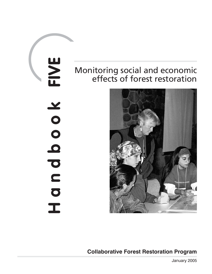# FIVE **Handbook FIVE NOOO** D D D  $\overline{I}$

# Monitoring social and economic effects of forest restoration



**Collaborative Forest Restoration Program**

January 2005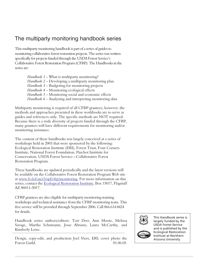# The multiparty monitoring handbook series

This multiparty monitoring handbook is part of a series of guides to monitoring collaborative forest restoration projects. The series was written specifically for projects funded through the USDA Forest Service's Collaborative Forest Restoration Program (CFRP). The Handbooks in the series are:

> *Handbook 1* – What is multiparty monitoring? *Handbook 2* – Developing a multiparty monitoring plan *Handbook 3* – Budgeting for monitoring projects *Handbook 4* – Monitoring ecological effects *Handbook 5* – Monitoring social and economic effects *Handbook 6* – Analyzing and interpreting monitoring data

Multiparty monitoring is required of all CFRP grantees; however, the methods and approaches presented in these workbooks are to serve as guides and references only. The specific methods are NOT required. Because there is a wide diversity of projects funded through the CFRP, many grantees will have different requirements for monitoring and/or monitoring assistance.

The content of these handbooks was largely conceived at a series of workshops held in 2003 that were sponsored by the following: Ecological Restoration Institute (ERI), Forest Trust, Four Corners Institute, National Forest Foundation, Pinchot Institute for Conservation, USDA Forest Service—Collaborative Forest Restoration Program.

These handbooks are updated periodically and the latest versions will be available on the Collaborative Forest Restoration Program Web site at [www.fs.fed.us/r3/spf/cfrp/monitoring.](http://www.fs.fed.us/r3/spf/cfrp/monitoring) For more information on this series, contact the [Ecological Restoration Institute](http://www.eri.nau.edu/), Box 15017, Flagstaff AZ 86011-5017.

CFRP grantees are also eligible for multiparty monitoring training workshops and technical assistance from the CFRP monitoring team. This free service will be provided through September 2006. Call 866.614.8424 for details.

Handbook series authors/editors: Tori Derr, Ann Moote, Melissa Savage, Martha Schumann, Jesse Abrams, Laura McCarthy, and Kimberly Lowe.

Design, copy-edit, and production Joel Viers, ERI; cover photo the Forest Guild. 01.06.05



This Handbook series is largely funded by the USDA Forest Service and is published by the Ecological Restoration Institute at Northern Arizona University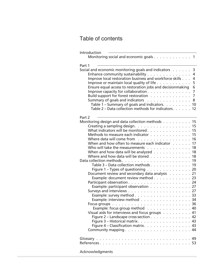# Table of contents

| Introduction                                                                                          |                |
|-------------------------------------------------------------------------------------------------------|----------------|
| Monitoring social and economic goals 1                                                                |                |
| Part 1                                                                                                |                |
| Social and economic monitoring goals and indicators                                                   | 3              |
| Enhance community sustainability                                                                      | $\overline{4}$ |
| Improve local restoration business and workforce skills                                               | $\overline{4}$ |
| Improve or maintain local quality of life $\ldots \ldots \ldots$                                      | 5              |
| Ensure equal access to restoration jobs and decisionmaking                                            | 6              |
| Improve capacity for collaboration.                                                                   | $\overline{7}$ |
| Build support for forest restoration                                                                  | $\overline{7}$ |
| Summary of goals and indicators                                                                       | 8              |
| Table 1 – Summary of goals and indicators. 10<br>Table 2 – Data collection methods for indicators. 12 |                |
|                                                                                                       |                |
| Part 2                                                                                                |                |
| Monitoring design and data collection methods 15                                                      |                |
|                                                                                                       |                |
| What indicators will be monitored 15                                                                  |                |
| Methods to measure each indicator 15                                                                  |                |
| Where data will come from                                                                             | 16             |
| When and how often to measure each indicator $\dots$ .                                                | 17             |
| Who will take the measurements 18                                                                     |                |
| When and how data will be analyzed 18                                                                 |                |
| Where and how data will be stored 18                                                                  |                |
| Table 3 – Data collection methods 19                                                                  |                |
| Figure 1 – Types of questioning $\ldots \ldots \ldots \ldots \ldots$ 20                               |                |
| Document review and secondary data analysis 21                                                        |                |
| Example: document review method23                                                                     |                |
|                                                                                                       |                |
| Example: participant observation 27                                                                   |                |
|                                                                                                       |                |
| Example: survey method 33                                                                             |                |
| Example: interview method 34                                                                          |                |
| Focus groups $\ldots \ldots \ldots \ldots \ldots \ldots \ldots \ldots \ldots$                         |                |
| Example: focus group method 40                                                                        |                |
| Visual aids for interviews and focus groups $\ldots \ldots \ldots$                                    |                |
| Figure $2$ – Landscape cross-section $\ldots$ , 42                                                    |                |
| Figure 3 – Historical matrix. 43                                                                      |                |
| Figure 4 – Classification matrix. 43                                                                  |                |
| Community mapping $\ldots \ldots \ldots \ldots \ldots \ldots \ldots$                                  |                |
|                                                                                                       |                |
|                                                                                                       |                |
|                                                                                                       |                |
| Acknowledgments                                                                                       |                |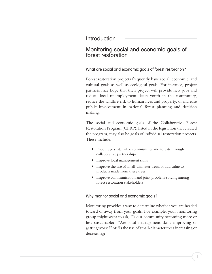# Introduction

# Monitoring social and economic goals of forest restoration

What are social and economic goals of forest restoration?

Forest restoration projects frequently have social, economic, and cultural goals as well as ecological goals. For instance, project partners may hope that their project will provide new jobs and reduce local unemployment, keep youth in the community, reduce the wildfire risk to human lives and property, or increase public involvement in national forest planning and decision making.

The social and economic goals of the Collaborative Forest Restoration Program (CFRP), listed in the legislation that created the program, may also be goals of individual restoration projects. These include:

- **Encourage sustainable communities and forests through** collaborative partnerships
- **Improve local management skills**
- Improve the use of small-diameter trees, or add value to products made from these trees
- **IMPROVE COMMUNICATION and joint problem-solving among** forest restoration stakeholders

Why monitor social and economic goals?

Monitoring provides a way to determine whether you are headed toward or away from your goals. For example, your monitoring group might want to ask, "Is our community becoming more or less sustainable?" "Are local management skills improving or getting worse?" or "Is the use of small-diameter trees increasing or decreasing?"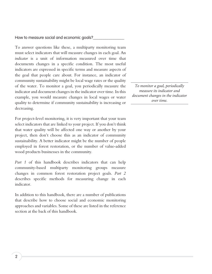How to measure social and economic goals?

To answer questions like these, a multiparty monitoring team must select indicators that will measure changes in each goal. An *indicator* is a unit of information measured over time that documents changes in a specific condition. The most useful indicators are expressed in specific terms and measure aspects of the goal that people care about. For instance, an indicator of community sustainability might be local wage rates or the quality of the water. To monitor a goal, you periodically measure the indicator and document changes in the indicator over time. In this example, you would measure changes in local wages or water quality to determine if community sustainability is increasing or decreasing.

For project-level monitoring, it is very important that your team select indicators that are linked to your project. If you don't think that water quality will be affected one way or another by your project, then don't choose this as an indicator of community sustainability. A better indicator might be the number of people employed in forest restoration, or the number of value-added wood products businesses in the community.

*Part 1* of this handbook describes indicators that can help community-based multiparty monitoring groups measure changes in common forest restoration project goals. *Part 2* describes specific methods for measuring change in each indicator.

In addition to this handbook, there are a number of publications that describe how to choose social and economic monitoring approaches and variables. Some of these are listed in the reference section at the back of this handbook.

*To monitor a goal, periodically measure its indicator and document changes in the indicator over time.*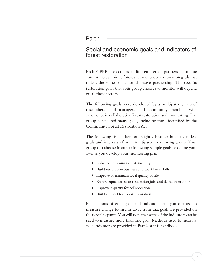## Part 1

# Social and economic goals and indicators of forest restoration

Each CFRP project has a different set of partners, a unique community, a unique forest site, and its own restoration goals that reflect the values of its collaborative partnership. The specific restoration goals that your group chooses to monitor will depend on all these factors.

The following goals were developed by a multiparty group of researchers, land managers, and community members with experience in collaborative forest restoration and monitoring. The group considered many goals, including those identified by the Community Forest Restoration Act.

The following list is therefore slightly broader but may reflect goals and interests of your multiparty monitoring group. Your group can choose from the following sample goals or define your own as you develop your monitoring plan:

- Enhance community sustainability
- ▶ Build restoration business and workforce skills
- **Improve or maintain local quality of life**
- **Ensure equal access to restoration jobs and decision making**
- **Improve capacity for collaboration**
- **Build support for forest restoration**

Explanations of each goal, and indicators that you can use to measure change toward or away from that goal, are provided on the next few pages. You will note that some of the indicators can be used to measure more than one goal. Methods used to measure each indicator are provided in Part 2 of this handbook.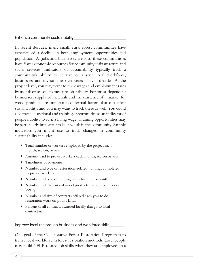Enhance community sustainability

In recent decades, many small, rural forest communities have experienced a decline in both employment opportunities and population. As jobs and businesses are lost, these communities have fewer economic resources for community infrastructure and social services. Indicators of sustainability typically track a community's ability to achieve or sustain local workforce, businesses, and investments over years or even decades. At the project level, you may want to track wages and employment rates by month or season, to measure job stability. For forest-dependent businesses, supply of materials and the existence of a market for wood products are important contextual factors that can affect sustainability, and you may want to track these as well. You could also track educational and training opportunities as an indicator of people's ability to earn a living wage. Training opportunities may be particularly important to keep youth in the community. Sample indicators you might use to track changes in community sustainability include:

- Total number of workers employed by the project each month, season, or year
- <sup>w</sup> Amount paid to project workers each month, season or year
- $\triangleright$  Timeliness of payments
- <sup>w</sup> Number and type of restoration-related trainings completed by project workers
- <sup>w</sup> Number and type of training opportunities for youth
- <sup>w</sup> Number and diversity of wood products that can be processed locally
- <sup>w</sup> Number and size of contracts offered each year to do restoration work on public lands
- Percent of all contracts awarded locally that go to local contractors

Improve local restoration business and workforce skills

One goal of the Collaborative Forest Restoration Program is to train a local workforce in forest restoration methods. Local people may build CFRP-related job skills when they are employed on a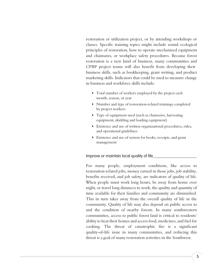restoration or utilization project, or by attending workshops or classes. Specific training topics might include sound ecological principles of restoration, how to operate mechanized equipment and chainsaws, or workplace safety procedures. Because forest restoration is a new kind of business, many communities and CFRP project teams will also benefit from developing their business skills, such as bookkeeping, grant writing, and product marketing skills. Indicators that could be used to measure change in business and workforce skills include:

- Total number of workers employed by the project each month, season, or year
- lacktriangleright Number and type of restoration-related trainings completed by project workers
- Type of equipment used (such as chainsaws, harvesting equipment, skidding and loading equipment)
- <sup>w</sup> Existence and use of written organizational procedures, rules, and operational guidelines
- Existence and use of system for books, receipts, and grant management

#### Improve or maintain local quality of life

For many people, employment conditions, like access to restoration-related jobs, money earned in those jobs, job stability, benefits received, and job safety, are indicators of quality of life. When people must work long hours, be away from home over night, or travel long distances to work, the quality and quantity of time available for their families and community are diminished. This in turn takes away from the overall quality of life in the community. Quality of life may also depend on public access to and the condition of nearby forests. In many southwestern communities, access to public forest land is critical to residents' ability to heat their homes and access food, medicines, and fuel for cooking. The threat of catastrophic fire is a significant quality-of-life issue in many communities, and reducing this threat is a goal of many restoration activities in the Southwest.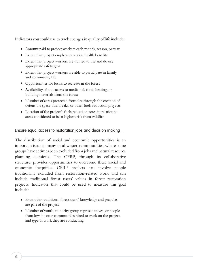Indicators you could use to track changes in quality of life include:

- Amount paid to project workers each month, season, or year
- <sup>w</sup> Extent that project employees receive health benefits
- <sup>w</sup> Extent that project workers are trained to use and do use appropriate safety gear
- Extent that project workers are able to participate in family and community life
- **•** Opportunities for locals to recreate in the forest
- <sup>w</sup> Availability of and access to medicinal, food, heating, or building materials from the forest
- <sup>w</sup> Number of acres protected from fire through the creation of defensible space, fuelbreaks, or other fuels reduction projects
- D Location of the project's fuels reduction acres in relation to areas considered to be at highest risk from wildfire

#### Ensure equal access to restoration jobs and decision making\_\_

The distribution of social and economic opportunities is an important issue in many southwestern communities, where some groups have at times been excluded from jobs and natural resource planning decisions. The CFRP, through its collaborative structure, provides opportunities to overcome these social and economic inequities. CFRP projects can involve people traditionally excluded from restoration-related work, and can include traditional forest users' values in forest restoration projects. Indicators that could be used to measure this goal include:

- <sup>w</sup> Extent that traditional forest users' knowledge and practices are part of the project
- <sup>w</sup> Number of youth, minority group representatives, or people from low-income communities hired to work on the project, and type of work they are conducting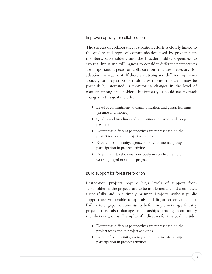Improve capacity for collaboration

The success of collaborative restoration efforts is closely linked to the quality and types of communication used by project team members, stakeholders, and the broader public. Openness to external input and willingness to consider different perspectives are important aspects of collaboration and are necessary for adaptive management. If there are strong and different opinions about your project, your multiparty monitoring team may be particularly interested in monitoring changes in the level of conflict among stakeholders. Indicators you could use to track changes in this goal include:

- <sup>w</sup> Level of commitment to communication and group learning (in time and money)
- Quality and timeliness of communication among all project partners
- <sup>w</sup> Extent that different perspectives are represented on the project team and in project activities
- $\blacktriangleright$  Extent of community, agency, or environmental group participation in project activities
- <sup>w</sup> Extent that stakeholders previously in conflict are now working together on this project

#### Build support for forest restoration\_\_\_\_\_\_\_\_\_\_\_\_\_\_\_\_\_\_\_\_\_\_\_\_\_

Restoration projects require high levels of support from stakeholders if the projects are to be implemented and completed successfully and in a timely manner. Projects without public support are vulnerable to appeals and litigation or vandalism. Failure to engage the community before implementing a forestry project may also damage relationships among community members or groups. Examples of indicators for this goal include:

- <sup>w</sup> Extent that different perspectives are represented on the project team and in project activities
- $\blacktriangleright$  Extent of community, agency, or environmental group participation in project activities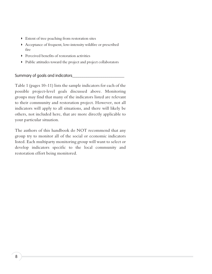- **Extent of tree poaching from restoration sites**
- Acceptance of frequent, low-intensity wildfire or prescribed fire
- **Perceived benefits of restoration activities**
- <sup>w</sup> Public attitudes toward the project and project collaborators

#### Summary of goals and indicators\_\_\_\_\_\_\_\_\_\_\_\_\_\_\_\_\_\_\_\_\_\_\_\_\_

Table 1 (pages 10–11) lists the sample indicators for each of the possible project-level goals discussed above. Monitoring groups may find that many of the indicators listed are relevant to their community and restoration project. However, not all indicators will apply to all situations, and there will likely be others, not included here, that are more directly applicable to your particular situation.

The authors of this handbook do NOT recommend that any group try to monitor all of the social or economic indicators listed. Each multiparty monitoring group will want to select or develop indicators specific to the local community and restoration effort being monitored.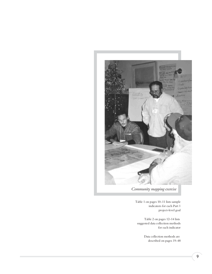

*Community mapping exercise*

Table 1 on pages 10–11 lists sample indicators for each Part 1 project-level goal

Table 2 on pages 12–14 lists suggested data collection methods for each indicator

> Data collection methods are described on pages 19–48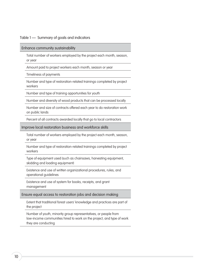Table 1 — Summary of goals and indicators

Enhance community sustainability

Total number of workers employed by the project each month, season, or year

Amount paid to project workers each month, season or year

Timeliness of payments

Number and type of restoration-related trainings completed by project workers

Number and type of training opportunities for youth

Number and diversity of wood products that can be processed locally

Number and size of contracts offered each year to do restoration work on public lands

Percent of all contracts awarded locally that go to local contractors

Improve local restoration business and workforce skills

Total number of workers employed by the project each month, season, or year

Number and type of restoration-related trainings completed by project workers

Type of equipment used (such as chainsaws, harvesting equipment, skidding and loading equipment)

Existence and use of written organizational procedures, rules, and operational guidelines

Existence and use of system for books, receipts, and grant management

Ensure equal access to restoration jobs and decision making

Extent that traditional forest users' knowledge and practices are part of the project

Number of youth, minority group representatives, or people from low-income communities hired to work on the project, and type of work they are conducting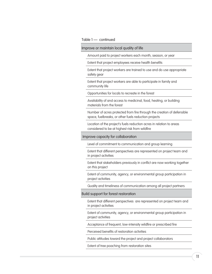#### Table 1 — continued

Improve or maintain local quality of life

Amount paid to project workers each month, season, or year

Extent that project employees receive health benefits

Extent that project workers are trained to use and do use appropriate safety gear

Extent that project workers are able to participate in family and community life

Opportunities for locals to recreate in the forest

Availability of and access to medicinal, food, heating, or building materials from the forest

Number of acres protected from fire through the creation of defensible space, fuelbreaks, or other fuels reduction projects

Location of the project's fuels reduction acres in relation to areas considered to be at highest risk from wildfire

Improve capacity for collaboration

Level of commitment to communication and group learning

Extent that different perspectives are represented on project team and in project activities

Extent that stakeholders previously in conflict are now working together on this project

Extent of community, agency, or environmental group participation in project activities

Quality and timeliness of communication among all project partners

#### Build support for forest restoration

Extent that different perspectives are represented on project team and in project activities

Extent of community, agency, or environmental group participation in project activities

Acceptance of frequent, low-intensity wildfire or prescribed fire

Perceived benefits of restoration activities

Public attitudes toward the project and project collaborators

Extent of tree poaching from restoration sites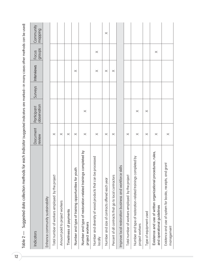| hods for each indicator (suggested indicators are marked—in many cases other methods can be used)<br>Suggested data collection met<br>Table $2-$ |                    |                            |         |            |                 |                      |
|--------------------------------------------------------------------------------------------------------------------------------------------------|--------------------|----------------------------|---------|------------|-----------------|----------------------|
| Indicators                                                                                                                                       | Document<br>review | observation<br>Participant | Surveys | Interviews | groups<br>Focus | Community<br>mapping |
| Enhance community sustainability                                                                                                                 |                    |                            |         |            |                 |                      |
| Total number of workers employed by the project                                                                                                  | $\times$           |                            |         |            |                 |                      |
| Amount paid to project workers                                                                                                                   | $\times$           |                            |         |            |                 |                      |
| Timeliness of payments                                                                                                                           | $\times$           |                            |         |            |                 |                      |
| Number and type of training opportunities for youth                                                                                              | $\times$           |                            |         | $\times$   |                 |                      |
| Number and type of restoration-related trainings completed by<br>project workers                                                                 | $\times$           | $\times$                   |         |            |                 |                      |
| Number and diversity of wood products that can be processed<br>locally                                                                           | $\times$           |                            |         | $\times$   | $\times$        |                      |
| Number and size of contracts offered each year                                                                                                   | $\times$           |                            |         | $\times$   |                 | $\times$             |
| Percent of all contracts that go to local contractors                                                                                            | $\times$           |                            |         | $\times$   |                 |                      |
| Improve local restoration business and workforce skills                                                                                          |                    |                            |         |            |                 |                      |
| Total number of workers employed by the project                                                                                                  | $\times$           |                            |         |            |                 |                      |
| Number and type of restoration-related trainings completed by<br>project workers                                                                 | $\times$           | $\times$                   |         |            |                 |                      |
| Type of equipment used                                                                                                                           | $\times$           | $\times$                   |         |            |                 |                      |
| Existence and use of written organizational procedures, rules,<br>and operational guidelines                                                     | $\times$           |                            |         |            | $\times$        |                      |
| and grant<br>Existence and use of system for books, receipts,<br>management                                                                      | $\times$           |                            |         |            |                 |                      |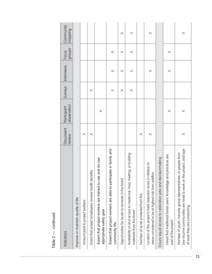| Indicators                                                                                                                                                          | Document<br>review | observation<br>Participant | <b>Surveys</b> | Interviews | groups<br>Focus | Community<br>mapping |
|---------------------------------------------------------------------------------------------------------------------------------------------------------------------|--------------------|----------------------------|----------------|------------|-----------------|----------------------|
| Improve or maintain quality of life                                                                                                                                 |                    |                            |                |            |                 |                      |
| Amount paid to project workers                                                                                                                                      | $\times$           |                            |                |            |                 |                      |
| Extent that project employees receive health benefits                                                                                                               | $\times$           |                            | $\times$       |            |                 |                      |
| Extent that project workers are trained to use and do use<br>appropriate safety gear                                                                                |                    | $\times$                   |                |            |                 |                      |
| Extent that project workers are able to participate in family and<br>community life                                                                                 |                    |                            | $\times$       | $\times$   | $\times$        |                      |
| Opportunities for locals to recreate in the forest                                                                                                                  |                    |                            | $\times$       | $\times$   | $\times$        | $\times$             |
| Availability of and access to medicinal, food, heating, or building<br>materials from the forest                                                                    |                    |                            | $\times$       | $\times$   | $\times$        | $\times$             |
| Number of acres protected from fire                                                                                                                                 | $\times$           |                            |                |            |                 |                      |
| Location of the project's fuels reduction acres in relation to<br>areas considered to be at highest risk from wildfire                                              | $\times$           |                            |                | $\times$   |                 | $\times$             |
| Ensure equal access to restoration jobs and decisionmaking                                                                                                          |                    |                            |                |            |                 |                      |
| Extent that traditional forest users' knowledge and practices are<br>part of the project                                                                            |                    | $\times$                   |                | $\times$   | $\times$        |                      |
| low-income communities are hired to work on the project, and type<br>Number of youth, minority group representatives, or people from<br>of work they are conducting | $\times$           | $\times$                   |                |            |                 | $\times$             |

# Table 2 - continued Table 2 — continued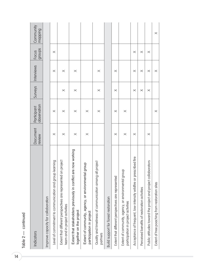| Indicators                                                                                      | Document<br>review | observation<br>Participant | Surveys  | Interviews | groups<br>Focus | Community<br>mapping |
|-------------------------------------------------------------------------------------------------|--------------------|----------------------------|----------|------------|-----------------|----------------------|
| Improve capacity for collaboration                                                              |                    |                            |          |            |                 |                      |
| Level of commitment to communication and group learning                                         | $\times$           | $\times$                   |          | $\times$   | $\times$        |                      |
| Extent that different perspectives are represented on project<br>team and in project activities | $\times$           | $\times$                   | $\times$ | $\times$   |                 |                      |
| Extent that stakeholders previously in conflict are now working<br>together on the project      | $\times$           | $\times$                   | $\times$ | $\times$   |                 |                      |
| Extent of community, agency, or environmental group<br>participation in project                 | $\times$           | $\times$                   |          |            |                 |                      |
| Quality and timeliness of communication among all project<br>partners                           |                    | $\times$                   | $\times$ | $\times$   |                 |                      |
| Build support for forest restoration                                                            |                    |                            |          |            |                 |                      |
| Extent that different perspectives are represented                                              | $\times$           | $\times$                   | $\times$ | $\times$   |                 |                      |
| Extent of community, agency, or environmental group<br>participation in project activities      | $\times$           | $\times$                   |          |            |                 |                      |
| prescribed fire<br>Acceptance of frequent, low-intensity wildfire or                            | $\times$           |                            | $\times$ | $\times$   | $\times$        |                      |
| Perceived benefits of restoration activities                                                    |                    |                            | $\times$ | $\times$   | $\times$        |                      |
| Public attitudes toward the project and project collaborators                                   | $\times$           |                            | $\times$ | $\times$   | $\times$        |                      |
| Extent of tree poaching from restoration sites                                                  |                    | $\times$                   |          | $\times$   |                 | $\times$             |

Table 2 - continued Table 2 — continued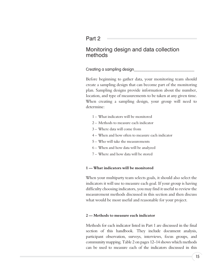#### Part 2

# Monitoring design and data collection methods

#### Creating a sampling design\_

Before beginning to gather data, your monitoring team should create a sampling design that can become part of the monitoring plan. Sampling designs provide information about the number, location, and type of measurements to be taken at any given time. When creating a sampling design, your group will need to determine:

- 1 What indicators will be monitored
- 2 Methods to measure each indicator
- 3 Where data will come from
- 4 When and how often to measure each indicator
- 5 Who will take the measurements
- 6 When and how data will be analyzed
- 7 Where and how data will be stored

#### **1 — What indicators will be monitored**

When your multiparty team selects goals, it should also select the indicators it will use to measure each goal. If your group is having difficulty choosing indicators, you may find it useful to review the measurement methods discussed in this section and then discuss what would be most useful and reasonable for your project.

#### **2 — Methods to measure each indicator**

Methods for each indicator listed in Part 1 are discussed in the final section of this handbook. They include document analysis, participant observation, surveys, interviews, focus groups, and community mapping. Table 2 on pages 12–14 shows which methods can be used to measure each of the indicators discussed in this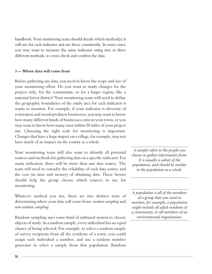handbook. Your monitoring team should decide which method(s) it will use for each indicator and use these consistently. In some cases, you may want to measure the same indicator using two or three different methods, to cross-check and confirm the data.

#### **3 — Where data will come from**

Before gathering any data, you need to know the scope and size of your monitoring effort. Do you want to study changes for the project only, for the community, or for a larger region, like a national forest district? Your monitoring team will need to define the geographic boundaries of the study area for each indicator it wants to monitor. For example, if your indicator is diversity of restoration and wood-products businesses, you may want to know how many different kinds of businesses exist in your town, or you may want to know how many exist within 50 miles of your project site. Choosing the right scale for monitoring is important. Changes that have a large impact on a village, for example, may not have much of an impact on the county as a whole.

Your monitoring team will also want to identify all potential sources and methods for gathering data on a specific indicator. For many indicators, there will be more than one data source. The team will need to consider the reliability of each data source and the cost (in time and money) of obtaining data. These factors should help the group choose which sources to use for monitoring.

Whatever method you use, there are two distinct ways of determining where your data will come from: *random sampling* and *non-random sampling*.

Random sampling uses some kind of unbiased system to choose objects of study. In a random sample, every individual has an equal chance of being selected. For example, to select a random sample of survey recipients from all the residents of a town, you could assign each individual a number, and use a random number generator to select a sample from that population. Random

*A sample refers to the people you choose to gather information from. It is usually a subset of the population, and should be similar to the population as a whole.*

*A population is all of the members of a group that you want to monitor; for example, a population might include all adult residents of a community, or all members of an environmental organization.*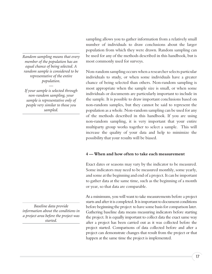*Random sampling means that every member of the population has an equal chance of being selected. A random sample is considered to be representative of the entire population.*

*— If your sample is selected through non-random sampling, your sample is representative only of people very similar to those you sampled.*

sampling allows you to gather information from a relatively small number of individuals to draw conclusions about the larger population from which they were drawn. Random sampling can be used for any of the methods described in this handbook, but is most commonly used for surveys.

Non-random sampling occurs when a researcher selects particular individuals to study, or when some individuals have a greater chance of being selected than others. Non-random sampling is most appropriate when the sample size is small, or when some individuals or documents are particularly important to include in the sample. It is possible to draw important conclusions based on non-random samples, but they cannot be said to represent the population as a whole. Non-random sampling can be used for any of the methods described in this handbook. If you are using non-random sampling, it is very important that your entire multiparty group works together to select a sample. This will increase the quality of your data and help to minimize the possibility that your results will be biased.

#### **4 — When and how often to take each measurement**

Exact dates or seasons may vary by the indicator to be measured. Some indicators may need to be measured monthly, some yearly, and some at the beginning and end of a project. It can be important to gather data at the same time, such as the beginning of a month or year, so that data are comparable.

At a minimum, you will want to take measurements before a project starts and after it is completed. It is important to document conditions before beginning the project to have some basis for comparison later. Gathering baseline data means measuring indicators before starting the project. It is equally important to collect data the exact same way after a project has been carried out as it was collected before the project started. Comparisons of data collected before and after a project can demonstrate changes that result from the project or that happen at the same time the project is implemented.

*Baseline data provide information about the conditions in a project area before the project was started.*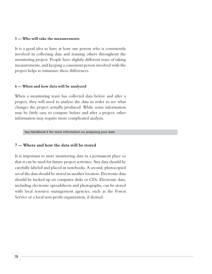#### **5 — Who will take the measurements**

It is a good idea to have at least one person who is consistently involved in collecting data and training others throughout the monitoring project. People have slightly different ways of taking measurements, and keeping a consistent person involved with the project helps to minimize these differences.

#### **6 — When and how data will be analyzed**

When a monitoring team has collected data before and after a project, they will need to analyze the data in order to see what changes the project actually produced. While some information may be fairly easy to compare before and after a project, other information may require more complicated analysis.

See Handbook 6 for more information on analyzing your data

#### **7 — Where and how the data will be stored**

It is important to store monitoring data in a permanent place so that it can be used for future project activities. Any data should be carefully labeled and placed in notebooks. A second, photocopied set of the data should be stored in another location. Electronic data should be backed up on computer disks or CDs. Electronic data, including electronic spreadsheets and photographs, can be stored with local resource management agencies, such as the Forest Service or a local non-profit organization, if desired.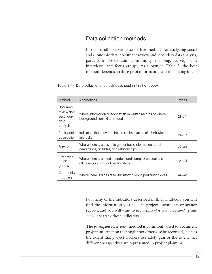# Data collection methods

In this handbook, we describe five methods for analyzing social and economic data: document review and secondary data analysis, participant observation, community mapping, surveys and interviews, and focus groups. As shown in Table 3, the best method depends on the type of information you are looking for.

#### Table 3 — Data collection methods described in this handbook

| Method                                                  | Applications                                                                                           | Pages     |
|---------------------------------------------------------|--------------------------------------------------------------------------------------------------------|-----------|
| Document<br>review and<br>secondary<br>data<br>analysis | Where information already exists in written records or where<br>background context is needed           | $21 - 24$ |
| Participant<br>observation                              | Indicators that may require direct observation of a behavior or<br>interaction                         | $24 - 27$ |
| Surveys                                                 | Where there is a desire to gather basic information about<br>perceptions, attitudes, and relationships | $27 - 34$ |
| <b>Interviews</b><br>or focus<br>groups                 | Where there is a need to understand complex perceptions,<br>attitudes, or important relationships      | $34 - 44$ |
| Community<br>mapping                                    | Where there is a desire to link information to particular places                                       | 44–48     |

For many of the indicators described in this handbook, you will find the information you need in project documents or agency reports, and you will want to use *document review and secondary data analysis* to track these indicators.

The *participant observation* method is commonly used to document project information that might not otherwise be recorded, such as the extent that project workers use safety gear or the extent that different perspectives are represented in project planning.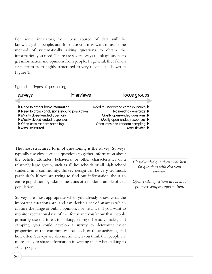For some indicators, your best source of data will be knowledgeable people, and for these you may want to use some method of systematically asking questions to obtain the information you need. There are several ways to ask questions to get information and opinions from people. In general, they fall on a spectrum from highly structured to very flexible, as shown in Figure 1.

#### Figure 1 — Types of questioning

| surveys                            | interviews                                  | focus groups                        |
|------------------------------------|---------------------------------------------|-------------------------------------|
| l Need to gather basic information |                                             | Need to understand complex issues ▶ |
|                                    | Need to draw conclusions about a population | No need to generalize D             |
| Mostly closed-ended questions      |                                             | Mostly open-ended questions D       |
| Mostly closed-ended responses      |                                             | Mostly open-ended responses D       |
| Often uses random sampling         |                                             | Often uses non-random sampling D    |
| Most structured                    |                                             | Most flexible D                     |

The most structured form of questioning is the survey. Surveys typically use closed-ended questions to gather information about the beliefs, attitudes, behaviors, or other characteristics of a relatively large group, such as all households or all high school students in a community. Survey design can be very technical, particularly if you are trying to find out information about an entire population by asking questions of a random sample of that population.

Surveys are most appropriate when you already know what the important questions are, and can devise a set of answers which capture the range of public opinion. For instance, if you want to monitor recreational use of the forest and you know that people primarily use the forest for hiking, riding off-road vehicles, and camping, you could develop a survey to determine what proportion of the community does each of these activities, and how often. Surveys are also useful when you think that people are more likely to share information in writing than when talking to other people.

*Closed-ended questions work best for questions with clear-cut answers.*

*Open-ended questions are used to get more complex information.*

*—*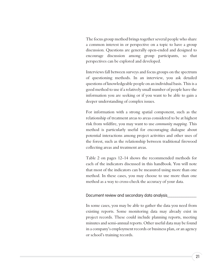The focus group method brings together several people who share a common interest in or perspective on a topic to have a group discussion. Questions are generally open-ended and designed to encourage discussion among group participants, so that perspectives can be explored and developed.

Interviews fall between surveys and focus groups on the spectrum of questioning methods. In an interview, you ask detailed questions of knowledgeable people on an individual basis. This is a good method to use if a relatively small number of people have the information you are seeking or if you want to be able to gain a deeper understanding of complex issues.

For information with a strong spatial component, such as the relationship of treatment areas to areas considered to be at highest risk from wildfire, you may want to use *community mapping.* This method is particularly useful for encouraging dialogue about potential interactions among project activities and other uses of the forest, such as the relationship between traditional firewood collecting areas and treatment areas.

Table 2 on pages 12–14 shows the recommended methods for each of the indicators discussed in this handbook. You will note that most of the indicators can be measured using more than one method. In these cases, you may choose to use more than one method as a way to cross-check the accuracy of your data.

#### Document review and secondary data analysis\_\_\_\_\_\_\_\_\_\_\_\_\_\_

In some cases, you may be able to gather the data you need from existing reports. Some monitoring data may already exist in project records. These could include planning reports, meeting minutes and semi-annual reports. Other useful data may be found in a company's employment records or business plan, or an agency or school's training records.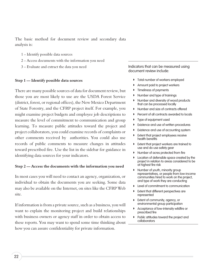The basic method for document review and secondary data analysis is:

- 1 Identify possible data sources
- 2 Access documents with the information you need
- 3 Evaluate and extract the data you need

#### **Step 1 — Identify possible data sources**

There are many possible sources of data for document review, but those you are most likely to use are the USDA Forest Service (district, forest, or regional offices), the New Mexico Department of State Forestry, and the CFRP project itself. For example, you might examine project budgets and employee job descriptions to measure the level of commitment to communication and group learning. To measure public attitudes toward the project and project collaborators, you could examine records of complaints or other comments received by authorities. You could also use records of public comments to measure changes in attitudes toward prescribed fire. Use the list in the sidebar for guidance in identifying data sources for your indicators.

#### **Step 2 — Access the documents with the information you need**

In most cases you will need to contact an agency, organization, or individual to obtain the documents you are seeking. Some data may also be available on the Internet, on sites like the CFRP Web site.

If information is from a private source, such as a business, you will want to explain the monitoring project and build relationships with business owners or agency staff in order to obtain access to these reports. You may want to spend some time thinking about how you can assure confidentiality for private information.

Indicators that can be measured using document review include:

- **D** Total number of workers employed
- Amount paid to project workers
- Timeliness of payments
- Number and type of trainings
- Number and diversity of wood products that can be processed locally
- Number and size of contracts offered
- Percent of all contracts awarded to locals
- Type of equipment used
- Existence and use of written procedures
- Existence and use of accounting system
- Extent that project employees receive health benefits
- **D** Extent that project workers are trained to use and do use safety gear
- Number of acres protected from fire
- **D** Location of defensible space created by the project in relation to areas considered to be at highest fire risk
- **Number of youth, minority group** representatives, or people from low-income communities hired to work on the project, and type of work they are conducting
- Level of commitment to communication
- Extent that different perspectives are represented
- Extent of community, agency, or environmental group participation
- Acceptance of low-intensity wildfire or prescribed fire
- Public attitudes toward the project and collaborators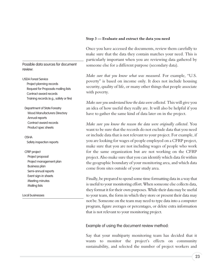#### **Step 3 — Evaluate and extract the data you need**

Once you have accessed the documents, review them carefully to make sure that the data they contain matches your need. This is particularly important when you are reviewing data gathered by someone else for a different purpose (secondary data).

*Make sure that you know what was measured.* For example, "U.S. poverty" is based on income only. It does not include housing security, quality of life, or many other things that people associate with poverty.

*Make sure you understand how the data were collected.* This will give you an idea of how useful they really are. It will also be helpful if you have to gather the same kind of data later on in the project.

*Make sure you know the reason the data were originally collected*. You want to be sure that the records do not exclude data that you need or include data that is not relevant to your project. For example, if you are looking for wages of people employed on a CFRP project, make sure that you are not including wages of people who work for the same organization but are not working on the CFRP project. Also make sure that you can identify which data fit within the geographic boundary of your monitoring area, and which data come from sites outside of your study area.

Finally, be prepared to spend some time formatting data in a way that is useful to your monitoring effort. When someone else collects data, they format it for their own purposes. While their data may be useful to your team, the form in which they store or present their data may not be. Someone on the team may need to type data into a computer program, figure averages or percentages, or delete extra information that is not relevant to your monitoring project.

#### Example of using the document review method:

Say that your multiparty monitoring team has decided that it wants to monitor the project's effects on community sustainability, and selected the number of project workers and

Possible data sources for document review:

USDA Forest Service Project planning records

Request for Proposals mailing lists Contract award records Training records (e.g., safety or fire)

Department of State Forestry Wood Manufacturers Directory Annual reports Contract award records Product spec sheets

OSHA Safety inspection reports

#### CFRP project

Project proposal Project management plan Business plan Semi-annual reports Event sign-in sheets Meeting minutes Mailing lists

Local businesses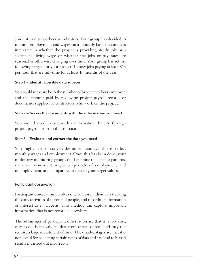amount paid to workers as indicators. Your group has decided to monitor employment and wages on a monthly basis because it is interested in whether the project is providing steady jobs at a sustainable living wage or whether the jobs or pay rates are seasonal or otherwise changing over time. Your group has set the following targets for your project: 12 new jobs paying at least \$13 per hour that are full-time for at least 10 months of the year.

#### **Step 1 – Identify possible data sources**

You could measure both the number of project workers employed and the amount paid by reviewing project payroll records or documents supplied by contractors who work on the project.

#### **Step 2 – Access the documents with the information you need**

You would need to access this information directly through project payroll or from the contractors.

#### **Step 3 – Evaluate and extract the data you need**

You might need to convert the information available to reflect monthly wages and employment. Once this has been done, your multiparty monitoring group could examine the data for patterns, such as inconsistent wages or periods of employment and unemployment, and compare your data to your target values.

#### Participant observation

Participant observation involves one or more individuals tracking the daily activities of a group of people, and recording information of interest as it happens. This method can capture important information that is not recorded elsewhere.

The advantages of participant observation are that it is low cost, easy to do, helps validate data from other sources, and may not require a large investment of time. The disadvantages are that it is not useful for collecting certain types of data and can lead to biased results if carried out incorrectly.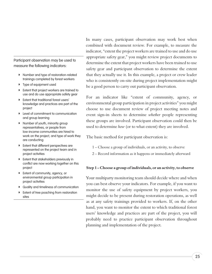Participant observation may be used to measure the following indicators:

- **Number and type of restoration-related** trainings completed by forest workers
- **D** Type of equipment used
- **D** Extent that project workers are trained to use and do use appropriate safety gear
- **Extent that traditional forest users'** knowledge and practices are part of the project
- **D** Level of commitment to communication and group learning
- **Number of youth, minority group** representatives, or people from low-income communities are hired to work on the project, and type of work they are conducting
- **D** Extent that different perspectives are represented on the project team and in project activities
- **D** Extent that stakeholders previously in conflict are now working together on this project
- **Extent of community, agency, or** environmental group participation in project activities
- **D** Quality and timeliness of communication
- **Extent of tree poaching from restoration** sites

In many cases, participant observation may work best when combined with document review. For example, to measure the indicator, "extent the project workers are trained to use and do use appropriate safety gear," you might review project documents to determine the extent that project workers have been trained to use safety gear and participant observation to determine the extent that they actually use it. In this example, a project or crew leader who is consistently on-site during project implementation might be a good person to carry out participant observation.

For an indicator like "extent of community, agency, or environmental group participation in project activities" you might choose to use document review of project meeting notes and event sign-in sheets to determine *whether* people representing these groups are involved. Participant observation could then be used to determine *how* (or to what extent) they are involved.

The basic method for participant observation is:

- 1 Choose a group of individuals, or an activity, to observe
- 2 Record information as it happens or immediately afterward

#### **Step 1 – Choose a group of individuals, or an activity, to observe**

Your multiparty monitoring team should decide where and when you can best observe your indicators. For example, if you want to monitor the use of safety equipment by project workers, you might decide to be present during restoration operations, as well as at any safety trainings provided to workers. If, on the other hand, you want to monitor the extent to which traditional forest users' knowledge and practices are part of the project, you will probably need to practice participant observation throughout planning and implementation of the project.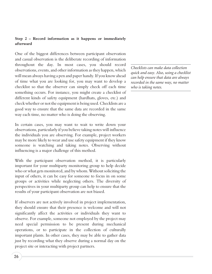#### **Step 2 – Record information as it happens or immediately afterward**

One of the biggest differences between participant observation and casual observation is the deliberate recording of information throughout the day. In most cases, you should record observations, events, and other information as they happen, which will mean always having a pen and paper handy. If you know ahead of time what you are looking for, you may want to develop a checklist so that the observer can simply check off each time something occurs. For instance, you might create a checklist of different kinds of safety equipment (hardhats, gloves, etc.) and check whether or not the equipment is being used. Checklists are a good way to ensure that the same data are recorded in the same way each time, no matter who is doing the observing.

In certain cases, you may want to wait to write down your observations, particularly if you believe taking notes will influence the individuals you are observing. For example, project workers may be more likely to wear and use safety equipment if they know someone is watching and taking notes. Observing without influencing is a major challenge of this method.

With the participant observation method, it is particularly important for your multiparty monitoring group to help decide who or what gets monitored, and by whom. Without soliciting the input of others, it can be easy for someone to focus in on some groups or activities while neglecting others. The diversity of perspectives in your multiparty group can help to ensure that the results of your participant observation are not biased.

If observers are not actively involved in project implementation, they should ensure that their presence is welcome and will not significantly affect the activities or individuals they want to observe. For example, someone not employed by the project may need special permission to be present during mechanical operations, or to participate in the collection of culturally important plants. In other cases, they may be able to gather data just by recording what they observe during a normal day on the project site or interacting with project partners.

*Checklists can make data collection quick and easy. Also, using a checklist can help ensure that data are always recorded in the same way, no matter who is taking notes.*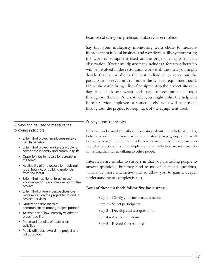Example of using the participant observation method:

Say that your multiparty monitoring team chose to measure improvement in local business and workforce skills by monitoring the types of equipment used on the project using participant observation. If your multiparty team includes a forest worker who will be involved in the restoration work at all the sites, you might decide that he or she is the best individual to carry out the participant observation to monitor the types of equipment used. He or she could bring a list of equipment to the project site each day and check off when each type of equipment is used throughout the day. Alternatively, you might enlist the help of a Forest Service employee or someone else who will be present throughout the project to keep track of the equipment used.

#### Surveys and interviews

Surveys can be used to gather information about the beliefs, attitudes, behaviors, or other characteristics of a relatively large group, such as all households or all high school students in a community. Surveys are also useful when you think that people are more likely to share information in writing than when talking to other people.

Interviews are similar to surveys in that you are asking people to answer questions, but they tend to use open-ended questions, which are more interactive and so allow you to gain a deeper understanding of complex issues.

#### **Both of these methods follow five basic steps:**

- Step 1 Clarify your information needs
- Step 2 Select participants
- Step 3 Develop and test questions
- Step 4 Ask the questions
- Step 5 Record the responses

Surveys can be used to measure the following indicators:

- **Extent that project employees receive** health benefits
- <sup>w</sup> Extent that project workers are able to participate in family and community life
- **D** Opportunities for locals to recreate in the forest
- **D** Availability of and access to medicinal, food, heating, or building materials from the forest
- **D** Extent that traditional forest users' knowledge and practices are part of the project
- **D** Extent that different perspectives are represented on the project team and in project activities
- **D** Quality and timeliness of communication among project partners
- **D** Acceptance of low-intensity wildfire or prescribed fire
- **Perceived benefits of restoration** activities
- <sup>w</sup> Public attitudes toward the project and collaborators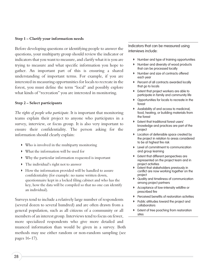#### **Step 1 – Clarify your information needs**

Before developing questions or identifying people to answer the questions, your multiparty group should review the indicator or indicators that you want to measure, and clarify what it is you are trying to measure and what specific information you hope to gather. An important part of this is ensuring a shared understanding of important terms. For example, if you are interested in measuring opportunities for locals to recreate in the forest, you must define the term "local" and possibly explore what kinds of "recreation" you are interested in monitoring.

#### **Step 2 – Select participants**

*The rights of people who participate*. It is important that monitoring teams explain their project to anyone who participates in a survey, interview, or focus group. It is also very important to ensure their confidentiality. The person asking for the information should clearly explain:

- $\triangleright$  Who is involved in the multiparty monitoring
- What the information will be used for
- Why the particular information requested is important
- $\triangleright$  The individual's right not to answer
- <sup>w</sup> How the information provided will be handled to assure confidentiality (for example: no name written down, questionnaire kept in a locked filing cabinet and who has the key, how the data will be compiled so that no one can identify an individual).

Surveys tend to include a relatively large number of respondents (several dozen to several hundred) and are often drawn from a general population, such as all citizens of a community or all members of an interest group. Interviews tend to focus on fewer, more specialized respondents who give more detailed and nuanced information than would be given in a survey. Both methods may use either random or non-random sampling (see pages 16–17).

Indicators that can be measured using interviews include:

- **Number and type of training opportunities**
- **Number and diversity of wood products** that can be processed locally
- Number and size of contracts offered each year
- **P** Percent of all contracts awarded locally that go to locals
- Extent that project workers are able to participate in family and community life
- **D** Opportunities for locals to recreate in the forest
- Availability of and access to medicinal, food, heating, or building materials from the forest
- Extent that traditional forest users' knowledge and practices are part of the project
- Location of defensible space created by the project in relation to areas considered to be at highest fire risk
- **D** Level of commitment to communication and group learning
- Extent that different perspectives are represented on the project team and in project activities
- Extent that stakeholders previously in conflict are now working together on the project
- Quality and timeliness of communication among project partners
- **D** Acceptance of low-intensity wildfire or prescribed fire
- Perceived benefits of restoration activities
- Public attitudes toward the project and collaborators
- Extent of tree poaching from restoration sites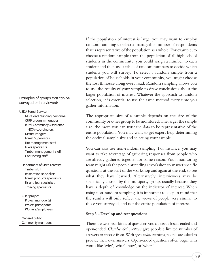If the population of interest is large, you may want to employ random sampling to select a manageable number of respondents that is representative of the population as a whole. For example, to choose a random sample from the population of all high school students in the community, you could assign a number to each student and then use a table of random numbers to decide which students you will survey. To select a random sample from a population of households in your community, you might choose the fourth house along every road. Random sampling allows you to use the results of your sample to draw conclusions about the larger population of interest. Whatever the approach to random selection, it is essential to use the same method every time you gather information.

The appropriate size of a sample depends on the size of the community or other group to be monitored. The larger the sample size, the more you can trust the data to be representative of the entire population. You may want to get expert help determining the optimal sample size and selecting your sample.

You can also use non-random sampling. For instance, you may want to take advantage of gathering responses from people who are already gathered together for some reason. Your monitoring team might ask the people attending a workshop to answer specific questions at the start of the workshop and again at the end, to see what they have learned. Alternatively, interviewees may be specifically chosen by the multiparty group, usually because they have a depth of knowledge on the indicator of interest. When using non-random sampling, it is important to keep in mind that the results will only reflect the views of people very similar to those you surveyed, and not the entire population of interest.

#### **Step 3 – Develop and test questions**

There are two basic kinds of questions you can ask: closed-ended and open-ended. *Closed-ended questions* give people a limited number of answers to choose from. With *open-ended questions*, people are asked to provide their own answers. Open-ended questions often begin with words like 'why', 'what', 'how', or 'where'.

#### Examples of groups that can be surveyed or interviewed:

#### USDA Forest Service

NEPA and planning personnel CFRP program manager Rural Community Assistance (RCA) coordinators District Rangers Forest Supervisors Fire management staff Fuels specialists Timber management staff Contracting staff

Department of State Forestry Timber staff Restoration specialists Forest products specialists Fir and fuel specialists Training specialists

CFRP project Project manager(s) Project participants Workers/employees

General public Community members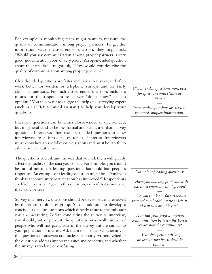For example, a monitoring team might want to measure the quality of communication among project partners. To get this information with a closed-ended question, they might ask, "Would you say communication among project partners is very good, good, neutral, poor, or very poor?" An open-ended question about the same issue might ask, "How would you describe the quality of communication among project partners?"

Closed-ended questions are faster and easier to answer, and often work better for written or telephone surveys and for fairly clear-cut questions. For each closed-ended question, include a means for the respondent to answer "don't know" or "no opinion." You may want to engage the help of a surveying expert (such as a CFRP technical assistant) to help you develop your questions.

Interview questions can be either closed-ended or open-ended, but in general tend to be less formal and structured than survey questions. Interviews often use open-ended questions to allow interviewees to go into detail on topics of interest. Interviewers must know how to ask follow-up questions and must be careful to ask them in a neutral way.

The questions you ask and the way that you ask them will greatly affect the quality of the data you collect. For example, you should be careful not to ask leading questions that could bias people's responses. An example of a leading question might be, "Don't you think that community participation has improved?" Respondents are likely to answer "yes" to this question, even if that is not what they truly believe.

Survey and interview questions should be developed and reviewed by the entire multiparty group. You should aim to develop a concise list of clear questions which directly relate to the indicator you are measuring. Before conducting the survey or interview, you should *pilot*, or pre-test, the questions on a small number of people who will not participate in the survey but are similar to your population of interest. Ask them to consider whether any of the questions or answers are unclear or poorly written, whether the questions address important issues and concerns, and whether the survey is too long or confusing.

*Closed-ended questions work best for questions with clear-cut answers.*

*Open-ended questions are used to get more complex information.*

*—*

*Examples of leading questions: —*

*Have you had any problems with extremist environmental groups?*

*Do you think our forests should restored to a healthy state or left at risk of catastrophic fire?*

*—*

*How has your project improved communication between the Forest Service and the community?*

*—*

*Was the operator driving carelessly when he crashed the skidder?*

*—*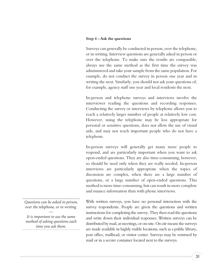#### **Step 4 – Ask the questions**

Surveys can generally be conducted in person, over the telephone, or in writing. Interview questions are generally asked in person or over the telephone. To make sure the results are comparable, always use the same method as the first time the survey was administered and take your sample from the same population. For example, do not conduct the survey in person one year and in writing the next. Similarly, you should not ask your questions of, for example, agency staff one year and local residents the next.

In-person and telephone surveys and interviews involve the interviewer reading the questions and recording responses. Conducting the survey or interviews by telephone allows you to reach a relatively larger number of people at relatively low cost. However, using the telephone may be less appropriate for personal or sensitive questions, does not allow the use of visual aids, and may not reach important people who do not have a telephone.

In-person surveys will generally get many more people to respond, and are particularly important when you want to ask open-ended questions. They are also time-consuming, however, so should be used only when they are really needed. In-person interviews are particularly appropriate when the topics of discussion are complex, when there are a large number of questions, or a large number of open-ended questions. This method is more time-consuming, but can result in more complete and nuance information than with phone interviews.

*Questions can be asked in person, over the telephone, or in writing.*

*—*

*It is important to use the same method of asking questions each time you ask them.*

With written surveys, you have no personal interaction with the survey respondents. People are given the questions and written instructions for completing the survey. They then read the questions and write down their individual responses. Written surveys can be distributed by mail, at meetings, or on-site. *On-site* means the surveys are made available in highly visible locations, such as a public library, post office, trailhead, or visitor center. Surveys may be returned by mail or in a secure container located next to the surveys.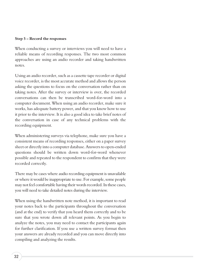#### **Step 5 – Record the responses**

When conducting a survey or interviews you will need to have a reliable means of recording responses. The two most common approaches are using an audio recorder and taking handwritten notes.

Using an audio recorder, such as a cassette tape recorder or digital voice recorder, is the most accurate method and allows the person asking the questions to focus on the conversation rather than on taking notes. After the survey or interview is over, the recorded conversations can then be transcribed word-for-word into a computer document. When using an audio recorder, make sure it works, has adequate battery power, and that you know how to use it prior to the interview. It is also a good idea to take brief notes of the conversation in case of any technical problems with the recording equipment.

When administering surveys via telephone, make sure you have a consistent means of recording responses, either on a paper survey sheet or directly into a computer database. Answers to open-ended questions should be written down word-for-word whenever possible and repeated to the respondent to confirm that they were recorded correctly.

There may be cases where audio recording equipment is unavailable or where it would be inappropriate to use. For example, some people may not feel comfortable having their words recorded. In these cases, you will need to take detailed notes during the interview.

When using the handwritten note method, it is important to read your notes back to the participants throughout the conversation (and at the end) to verify that you heard them correctly and to be sure that you wrote down all relevant points. As you begin to analyze the notes, you may need to contact the participants again for further clarification. If you use a written survey format then your answers are already recorded and you can move directly into compiling and analyzing the results.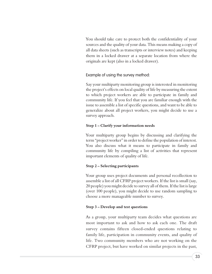You should take care to protect both the confidentiality of your sources and the quality of your data. This means making a copy of all data sheets (such as transcripts or interview notes) and keeping them in a locked drawer at a separate location from where the originals are kept (also in a locked drawer).

Example of using the survey method:

Say your multiparty monitoring group is interested in monitoring the project's effects on local quality of life by measuring the extent to which project workers are able to participate in family and community life. If you feel that you are familiar enough with the issue to assemble a list of specific questions, and want to be able to generalize about all project workers, you might decide to use a survey approach.

#### **Step 1 – Clarify your information needs**

Your multiparty group begins by discussing and clarifying the term "project worker" in order to define the population of interest. You also discuss what it means to participate in family and community life by compiling a list of activities that represent important elements of quality of life.

#### **Step 2 – Selecting participants**

Your group uses project documents and personal recollection to assemble a list of all CFRP project workers. If the list is small (say, 20 people) you might decide to survey all of them. If the list is large (over 100 people), you might decide to use random sampling to choose a more manageable number to survey.

#### **Step 3 – Develop and test questions**

As a group, your multiparty team decides what questions are most important to ask and how to ask each one. The draft survey contains fifteen closed-ended questions relating to family life, participation in community events, and quality of life. Two community members who are not working on the CFRP project, but have worked on similar projects in the past,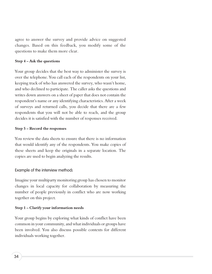agree to answer the survey and provide advice on suggested changes. Based on this feedback, you modify some of the questions to make them more clear.

#### **Step 4 – Ask the questions**

Your group decides that the best way to administer the survey is over the telephone. You call each of the respondents on your list, keeping track of who has answered the survey, who wasn't home, and who declined to participate. The caller asks the questions and writes down answers on a sheet of paper that does not contain the respondent's name or any identifying characteristics. After a week of surveys and returned calls, you decide that there are a few respondents that you will not be able to reach, and the group decides it is satisfied with the number of responses received.

#### **Step 5 – Record the responses**

You review the data sheets to ensure that there is no information that would identify any of the respondents. You make copies of these sheets and keep the originals in a separate location. The copies are used to begin analyzing the results.

#### Example of the interview method**:**

Imagine your multiparty monitoring group has chosen to monitor changes in local capacity for collaboration by measuring the number of people previously in conflict who are now working together on this project.

#### **Step 1 – Clarify your information needs**

Your group begins by exploring what kinds of conflict have been common in your community, and what individuals or groups have been involved. You also discuss possible contexts for different individuals working together.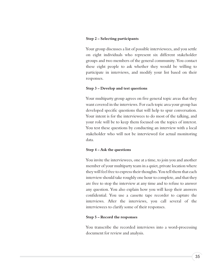#### **Step 2 – Selecting participants**

Your group discusses a list of possible interviewees, and you settle on eight individuals who represent six different stakeholder groups and two members of the general community. You contact these eight people to ask whether they would be willing to participate in interviews, and modify your list based on their responses.

#### **Step 3 – Develop and test questions**

Your multiparty group agrees on five general topic areas that they want covered in the interviews. For each topic area your group has developed specific questions that will help to spur conversation. Your intent is for the interviewees to do most of the talking, and your role will be to keep them focused on the topics of interest. You test these questions by conducting an interview with a local stakeholder who will not be interviewed for actual monitoring data.

#### **Step 4 – Ask the questions**

You invite the interviewees, one at a time, to join you and another member of your multiparty team in a quiet, private location where they will feel free to express their thoughts. You tell them that each interview should take roughly one hour to complete, and that they are free to stop the interview at any time and to refuse to answer any question. You also explain how you will keep their answers confidential. You use a cassette tape recorder to capture the interviews. After the interviews, you call several of the interviewees to clarify some of their responses.

#### **Step 5 – Record the responses**

You transcribe the recorded interviews into a word-processing document for review and analysis.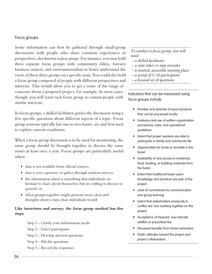#### Focus groups

Some information can best be gathered through small-group discussions with people who share common experiences or perspectives, also known as*focus groups*. For instance, you may hold three separate focus groups with community elders, forestry business owners, and environmentalists to better understand the views of these three groups on a specific issue. You could also hold a focus group composed of people with different perspectives and interests. This would allow you to get a sense of the range of concerns about a proposed project, for example. In most cases, though, you will want each focus group to contain people with similar interests.

In focus groups, a skilled facilitator guides the discussion using a few specific questions about different aspects of a topic. Focus group sessions typically last one to two hours, are and best used to explore current conditions.

When a focus group discussion is to be used for monitoring, the same group should be brought together to discuss the same issues at least once a year. Focus groups are particularly useful when:

- data is not available from official sources,
- data is very expensive to gather through random surveys,
- $\blacktriangleright$  the information asked is something that individuals are hesitant to share about themselves but are willing to discuss in general, or,
- when groups together might generate more ideas and thoughts about a topic than individuals would.

#### **Like interviews and surveys, the focus group method has five steps:**

- Step 1 Clarify your information needs
- Step 2 Select participants
- Step 3 Develop and test questions
- Step 4 Ask the questions
- Step 5 Record the responses

#### *To conduct a focus group, you will need:*

- *a skilled facilitator*
- *a note-taker or tape recorder*
- *a neutral, accessible meeting place*
- *a group of 5–10 participants*
- *a focused set of questions*

Indicators that can be measured using focus groups include:

- **Number and diversity of wood products** that can be processed locally
- **D** Existence and use of written organization procedures, rules, and operational guidelines
- Extent that project workers are able to participate in family and community life
- **D** Opportunities for locals to recreate in the forest
- **D** Availability of and access to medicinal, food, heating, or building materials from the forest
- **D** Extent that traditional forest users' knowledge and practices are part of the project
- **D** Level of commitment to communication and group learning
- **D** Extent that stakeholders previously in conflict are now working together on this project
- **D** Acceptance of frequent, low-intensity wildfire or prescribed fire
- **Perceived benefits from forest restoration**
- Public attitudes toward the project and project collaborators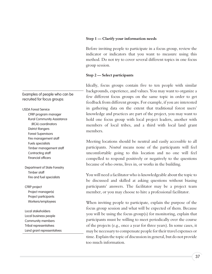#### **Step 1 — Clarify your information needs**

Before inviting people to participate in a focus group, review the indicator or indicators that you want to measure using this method. Do not try to cover several different topics in one focus group session.

#### **Step 2 — Select participants**

Ideally, focus groups contain five to ten people with similar backgrounds, experience, and values. You may want to organize a few different focus groups on the same topic in order to get feedback from different groups. For example, if you are interested in gathering data on the extent that traditional forest users' knowledge and practices are part of the project, you may want to hold one focus group with local project leaders, another with members of local tribes, and a third with local land grant members.

Meeting locations should be neutral and easily accessible to all participants. *Neutral* means none of the participants will feel uncomfortable going to this location and no one will feel compelled to respond positively or negatively to the questions because of who owns, lives in, or works in the building.

You will need a facilitator who is knowledgeable about the topic to be discussed and skilled at asking questions without biasing participants' answers. The facilitator may be a project team member, or you may choose to hire a professional facilitator.

When inviting people to participate, explain the purpose of the focus group session and what will be expected of them. Because you will be using the focus group(s) for monitoring, explain that participants must be willing to meet periodically over the course of the projects (e.g., once a year for three years). In some cases, it may be necessary to compensate people for their travel expenses or time. Explain the topic of discussion in general, but do not provide too much information.

Examples of people who can be recruited for focus groups:

USDA Forest Service CFRP program manager Rural Community Assistance (RCA) coordinators District Rangers Forest Supervisors Fire management staff Fuels specialists Timber management staff Contracting staff Financial officers

Department of State Forestry Timber staff Fire and fuel specialists

CFRP project Project manager(s) Project participants Workers/employees

Local stakeholders Local business people Community members Tribal representatives Land grant representatives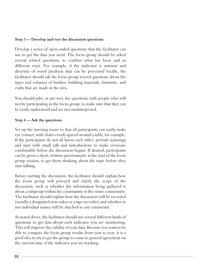#### **Step 3 — Develop and test the discussion questions**

Develop a series of open-ended questions that the facilitator can use to get the data you need. The focus group should be asked several related questions, to confirm what has been said in different ways. For example, if the indicator is amount and diversity of wood products that can be processed locally, the facilitator should ask the focus group several questions about the types and volumes of lumber, building materials, furniture, and crafts that are made in the area.

You should *pilot*, or pre-test, the questions with people who will not be participating in the focus group, to make sure that they can be easily understood and are not misinterpreted.

#### **Step 4 — Ask the questions**

Set up the meeting room so that all participants can easily make eye contact, with chairs evenly spaced around a table, for example. If the participants do not all know each other, provide nametags and start with small talk and introductions to make everyone comfortable before the discussion begins. If desired, participants can be given a short, written questionnaire at the start of the focus group session, to get them thinking about the topic before they start talking.

Before starting the discussion, the facilitator should explain how the focus group will proceed and clarify the scope of the discussion, such as whether the information being gathered is about a subgroup within the community or the entire community. The facilitator should explain how the discussion will be recorded (usually a designated note-taker or a tape recorder) and whether or not individual names will be attached to any comments.

As noted above, the facilitator should use several different kinds of questions to get data about each indicator you are monitoring. This will improve the validity of your data. Because you want to be able to compare the focus group results from year to year, it is a good idea to try to get the group to come to general agreement on the current state of the indicator you are tracking.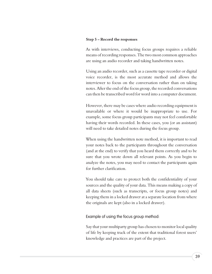#### **Step 5 – Record the responses**

As with interviews, conducting focus groups requires a reliable means of recording responses. The two most common approaches are using an audio recorder and taking handwritten notes.

Using an audio recorder, such as a cassette tape recorder or digital voice recorder, is the most accurate method and allows the interviewer to focus on the conversation rather than on taking notes. After the end of the focus group, the recorded conversations can then be transcribed word for word into a computer document.

However, there may be cases where audio recording equipment is unavailable or where it would be inappropriate to use. For example, some focus group participants may not feel comfortable having their words recorded. In these cases, you (or an assistant) will need to take detailed notes during the focus group.

When using the handwritten note method, it is important to read your notes back to the participants throughout the conversation (and at the end) to verify that you heard them correctly and to be sure that you wrote down all relevant points. As you begin to analyze the notes, you may need to contact the participants again for further clarification.

You should take care to protect both the confidentiality of your sources and the quality of your data. This means making a copy of all data sheets (such as transcripts, or focus group notes) and keeping them in a locked drawer at a separate location from where the originals are kept (also in a locked drawer).

#### Example of using the focus group method:

Say that your multiparty group has chosen to monitor local quality of life by keeping track of the extent that traditional forest users' knowledge and practices are part of the project.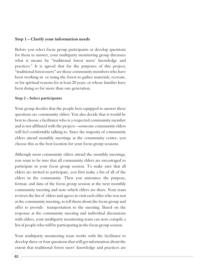#### **Step 1 – Clarify your information needs**

Before you select focus group participants or develop questions for them to answer, your multiparty monitoring group discusses what it means by "traditional forest users' knowledge and practices." It is agreed that for the purposes of this project, "traditional forest users" are those community members who have been working in or using the forest to gather materials, recreate, or for spiritual reasons for at least 20 years, or whose families have been doing so for more than one generation.

#### **Step 2 – Select participants**

Your group decides that the people best equipped to answer these questions are community elders. You also decide that it would be best to choose a facilitator who is a respected community member and is not affiliated with the project—someone community elders will feel comfortable talking to. Since the majority of community elders attend monthly meetings at the community center, you choose this as the best location for your focus group sessions.

Although most community elders attend the monthly meetings, you want to be sure that all community elders are encouraged to participate in your focus group session. To make sure that all elders are invited to participate, you first make a list of all of the elders in the community. Then you announce the purpose, format, and data of the focus group session at the next monthly community meeting and note which elders are there. Your team reviews the list of elders and agrees to visit each elder who was not at the community meeting, to tell them about the focus group and offer to provide transportation to the meeting. Based on the response at the community meeting and individual discussions with elders, your multiparty monitoring team can now compile a list of people who will be participating in the focus group session.

Your multiparty monitoring team works with the facilitator to develop three or four questions that will get information about the extent that traditional forest users' knowledge and practices are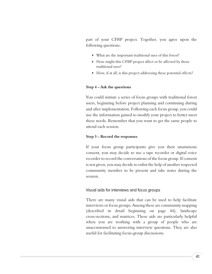part of your CFRP project. Together, you agree upon the following questions:

- What are the important traditional uses of this forest?
- How might this CFRP project affect or be affected by those traditional uses?
- How, if at all, is this project addressing these potential effects?

#### **Step 4 – Ask the questions**

You could initiate a series of focus groups with traditional forest users, beginning before project planning and continuing during and after implementation. Following each focus group, you could use the information gained to modify your project to better meet these needs. Remember that you want to get the same people to attend each session.

#### **Step 5 – Record the responses**

If your focus group participants give you their unanimous consent, you may decide to use a tape recorder or digital voice recorder to record the conversations of the focus group. If consent is not given, you may decide to enlist the help of another respected community member to be present and take notes during the session.

#### Visual aids for interviews and focus groups

There are many visual aids that can be used to help facilitate interviews or focus groups. Among these are community mapping (described in detail beginning on page 44), landscape cross-sections, and matrices. These aids are particularly helpful when you are working with a group of people who are unaccustomed to answering interview questions. They are also useful for facilitating focus-group discussions.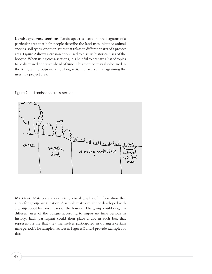**Landscape cross-sections**: Landscape cross-sections are diagrams of a particular area that help people describe the land uses, plant or animal species, soil types, or other issues that relate to different parts of a project area. Figure 2 shows a cross-section used to discuss historical uses of the bosque. When using cross-sections, it is helpful to prepare a list of topics to be discussed or drawn ahead of time. This method may also be used in the field, with groups walking along actual transects and diagraming the uses in a project area.





**Matrices:** Matrices are essentially visual graphs of information that allow for group participation. A sample matrix might be developed with a group about historical uses of the bosque. The group could diagram different uses of the bosque according to important time periods in history. Each participant could then place a dot in each box that represents a use that they themselves participated in during a certain time period. The sample matrices in Figures 3 and 4 provide examples of this.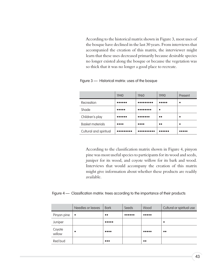According to the historical matrix shown in Figure 3, most uses of the bosque have declined in the last 30 years. From interviews that accompanied the creation of this matrix, the interviewer might learn that these uses decreased primarily because desirable species no longer existed along the bosque or because the vegetation was so thick that it was no longer a good place to recreate.

|                         | 1940                           | 1960                           | 1990      | Present |
|-------------------------|--------------------------------|--------------------------------|-----------|---------|
| Recreation              | .                              | .                              |           |         |
| Shade                   | .                              |                                |           |         |
| Children's play         | .                              |                                | $\bullet$ |         |
| <b>Basket materials</b> | $\bullet\bullet\bullet\bullet$ | $\bullet\bullet\bullet\bullet$ | $\bullet$ |         |
| Cultural and spiritual  |                                |                                |           |         |

Figure 3 — Historical matrix: uses of the bosque

According to the classification matrix shown in Figure 4, pinyon pine was most useful species to participants for its wood and seeds, juniper for its wood, and coyote willow for its bark and wood. Interviews that would accompany the creation of this matrix might give information about whether these products are readily available.

#### Figure 4 — Classification matrix: trees according to the importance of their products

|                  | Needles or leaves | <b>Bark</b>                           | Seeds      | Wood                                  | Cultural or spiritual use |
|------------------|-------------------|---------------------------------------|------------|---------------------------------------|---------------------------|
| Pinyon pine      | $\bullet$         | $\bullet\bullet$                      | $0.000000$ | $\bullet\bullet\bullet\bullet\bullet$ |                           |
| Juniper          |                   | $\bullet\bullet\bullet\bullet\bullet$ |            |                                       |                           |
| Coyote<br>willow |                   | $\bullet\bullet\bullet\bullet$        |            | $\bullet\bullet\bullet\bullet\bullet$ | $\bullet\bullet$          |
| Red bud          |                   | $\bullet\bullet\bullet$               |            | $\bullet\bullet$                      |                           |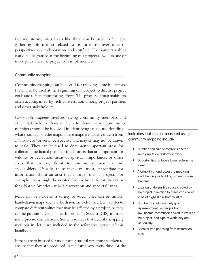For monitoring, visual aids like these can be used to facilitate gathering information related to resource use over time or perspectives on collaboration and conflict. The same variables could be diagramed at the beginning of a project as well as one or more years after the project was implemented.

#### Community mapping

Community mapping can be useful for tracking some indicators. It can also be used at the beginning of a project to discuss project goals and to plan monitoring efforts. The process of map making is often accompanied by rich conversation among project partners and other stakeholders.

*Community mapping* involves having community members and other stakeholders draw or help to draw maps. Community members should be involved in identifying issues and deciding what should go on the maps. These maps are usually drawn from a "birds-eye" or aerial perspective and may or may not be drawn to scale. They can be used to document important areas for collecting medicinal plants or foods, areas that are important for wildlife or recreation, areas of spiritual importance, or other areas that are significant to community members and stakeholders. Usually, these maps are most appropriate for information about an area that is larger than a project. For example, maps might be created for a national forest district or for a Native American tribe's reservation and ancestral lands.

Maps can be made in a variety of ways. They can be simple, hand-drawn maps, they can be drawn onto clear overlays in order to compare different values that may be affected by a project, or they can be put into a Geographic Information System (GIS) to make more precise comparisons. Some resources that describe mapping methods in detail are included in the references section of this handbook.

If maps are to be used for monitoring, special care must be taken to ensure that they are produced in the same way every time. At the

Indicators that can be measured using community mapping include:

- **Number and size of contracts offered** each year to do restoration work
- **D** Opportunities for locals to recreate in the forest
- **D** Availability of and access to medicinal, food, heating, or building materials from the forest
- **D** Location of defensible space created by the project in relation to areas considered to be at highest risk from wildfire
- **Number of youth, minority group** representatives, or people from low-income communities hired to work on the project, and type of work they are conducting
- **D** Extent of tree poaching from restoration sites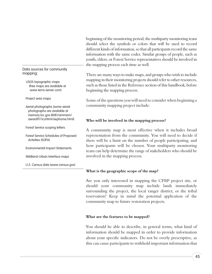beginning of the monitoring period, the multiparty monitoring team should select the symbols or colors that will be used to record different kinds of information, so that all participants record the same information with the same codes. Similar groups of people, such as youth, elders, or Forest Service representatives should be involved in the mapping process each time as well.

There are many ways to make maps, and groups who wish to include mapping in their monitoring projects should refer to other resources, such as those listed in the Reference section of this handbook, before beginning the mapping process.

Some of the questions you will need to consider when beginning a community mapping project include:

#### **Who will be involved in the mapping process?**

A community map is most effective when it includes broad representation from the community. You will need to decide if there will be a limit on the number of people participating, and how participants will be chosen. Your multiparty monitoring team can help determine the range of stakeholders who should be involved in the mapping process.

#### **What is the geographic scope of the map?**

Are you only interested in mapping the CFRP project site, or should your community map include lands immediately surrounding the project, the local ranger district, or the tribal reservation? Keep in mind the potential application of the community map to future restoration projects.

#### **What are the features to be mapped?**

You should be able to describe, in general terms, what kind of information should be mapped in order to provide information about your specific indicators. Do not be overly prescriptive, as this can cause participants to withhold important information that

#### Data sources for community mapping:

USGS topographic maps (free maps are available at www.terra-server.com)

Project area maps

Aerial photographs (some aerial photographs are available at memory.loc.gov:8081/ammem/ award97/icuhtml/aephome.html)

Forest Service scoping letters

Forest Service Schedules of Proposed Activities (SOPA)

Environmental Impact Statements

Wildland-Urban Interface maps

U.S. Census data (www.census.gov)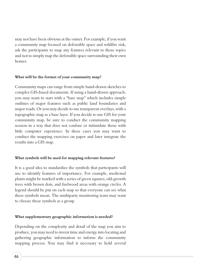may not have been obvious at the outset. For example, if you want a community map focused on defensible space and wildfire risk, ask the participants to map any features relevant to those topics and not to simply map the defensible space surrounding their own homes.

#### **What will be the format of your community map?**

Community maps can range from simple hand-drawn sketches to complex GIS-based documents. If using a hand-drawn approach, you may want to start with a "base map" which includes simple outlines of major features such as public land boundaries and major roads. Or you may decide to use transparent overlays, with a topographic map as a base layer. If you decide to use GIS for your community map, be sure to conduct the community mapping session in a way that does not confuse or intimidate those with little computer experience. In these cases you may want to conduct the mapping exercises on paper and later integrate the results into a GIS map.

#### **What symbols will be used for mapping relevant features?**

It is a good idea to standardize the symbols that participants will use to identify features of importance. For example, medicinal plants might be marked with a series of green squares, old-growth trees with brown dots, and fuelwood areas with orange circles. A legend should be put on each map so that everyone can see what these symbols mean. The multiparty monitoring team may want to choose these symbols as a group.

#### **What supplementary geographic information is needed?**

Depending on the complexity and detail of the map you aim to produce, you may need to invest time and energy into locating and gathering geographic information to inform the community mapping process. You may find it necessary to hold several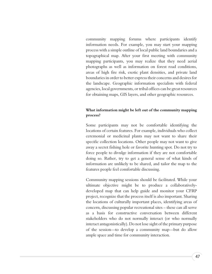community mapping forums where participants identify information needs. For example, you may start your mapping process with a simple outline of local public land boundaries and a topographical map. After your first meeting with community mapping participants, you may realize that they need aerial photographs as well as information on forest road conditions, areas of high fire risk, exotic plant densities, and private land boundaries in order to better express their concerns and desires for the landscape. Geographic information specialists with federal agencies, local governments, or tribal offices can be great resources for obtaining maps, GIS layers, and other geographic resources.

#### **What information might be left out of the community mapping process?**

Some participants may not be comfortable identifying the locations of certain features. For example, individuals who collect ceremonial or medicinal plants may not want to share their specific collection locations. Other people may not want to give away a secret fishing hole or favorite hunting spot. Do not try to force people to divulge information if they are not comfortable doing so. Rather, try to get a general sense of what kinds of information are unlikely to be shared, and tailor the map to the features people feel comfortable discussing.

Community mapping sessions should be facilitated. While your ultimate objective might be to produce a collaborativelydeveloped map that can help guide and monitor your CFRP project, recognize that the process itself is also important. Sharing the locations of culturally important places, identifying areas of concern, discussing popular recreational sites – these can all serve as a basis for constructive conversation between different stakeholders who do not normally interact (or who normally interact antagonistically). Do not lose sight of the primary purpose of the session—to develop a community map—but do allow ample space and time for community interaction.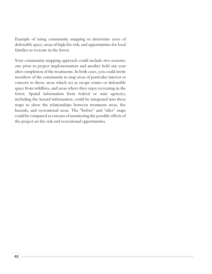Example of using community mapping to determine acres of defensible space, areas of high fire risk, and opportunities for local families to recreate in the forest.

Your community mapping approach could include two sessions: one prior to project implementation and another held one year after completion of the treatments. In both cases, you could invite members of the community to map areas of particular interest or concern to them, areas which act as escape routes or defensible space from wildfires, and areas where they enjoy recreating in the forest. Spatial information from federal or state agencies, including fire hazard information, could be integrated into these maps to show the relationships between treatment areas, fire hazards, and recreational areas. The "before" and "after" maps could be compared as a means of monitoring the possible effects of the project on fire risk and recreational opportunities.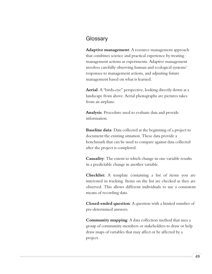# **Glossary**

**Adaptive management**: A resource management approach that combines science and practical experience by treating management actions as experiments. Adaptive management involves carefully observing human and ecological systems' responses to management actions, and adjusting future management based on what is learned.

**Aerial**: A "birds-eye" perspective, looking directly down at a landscape from above. Aerial photographs are pictures takes from an airplane.

**Analysis**: Procedure used to evaluate data and provide information.

**Baseline data**: Data collected at the beginning of a project to document the existing situation. These data provide a benchmark that can be used to compare against data collected after the project is completed.

**Causality**: The extent to which change in one variable results in a predictable change in another variable.

**Checklist:** A template containing a list of items you are interested in tracking. Items on the list are checked as they are observed. This allows different individuals to use a consistent means of recording data.

**Closed-ended question**: A question with a limited number of pre-determined answers.

**Community mapping**: A data collection method that uses a group of community members or stakeholders to draw or help draw maps of variables that may affect or be affected by a project.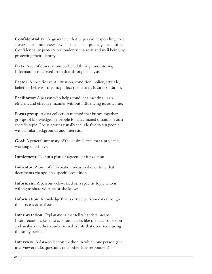**Confidentiality**: A guarantee that a person responding to a survey or interview will not be publicly identified. Confidentiality protects respondents' interests and well being by protecting their identity.

**Data**: A set of observations collected through monitoring. Information is derived from data through analysis.

**Factor**: A specific event, situation, condition, policy, attitude, belief, or behavior that may affect the desired future condition.

**Facilitator**: A person who helps conduct a meeting in an efficient and effective manner without influencing its outcome.

**Focus group**: A data collection method that brings together groups of knowledgeable people for a facilitated discussion on a specific topic. Focus groups usually include five to ten people with similar backgrounds and interests.

**Goal**: A general summary of the desired state that a project is working to achieve.

**Implement**: To put a plan or agreement into action.

**Indicator**: A unit of information measured over time that documents changes in a specific condition.

**Informant**: A person well-versed on a specific topic who is willing to share what he or she knows.

**Information**: Knowledge that is extracted from data through the process of analysis.

**Interpretation**: Explanations that tell what data means. Interpretation takes into account factors like the data collection and analysis methods and external events that occurred during the study period.

**Interview**: A data-collection method in which one person (the interviewer) asks questions of another (the respondent).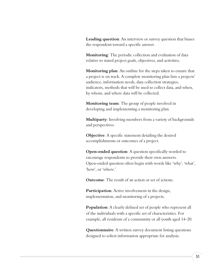**Leading question**: An interview or survey question that biases the respondent toward a specific answer.

**Monitoring**: The periodic collection and evaluation of data relative to stated project goals, objectives, and activities.

**Monitoring plan**: An outline for the steps taken to ensure that a project is on track. A complete monitoring plan lists a projects' audience, information needs, data collection strategies, indicators, methods that will be used to collect data, and when, by whom, and where data will be collected.

**Monitoring team**: The group of people involved in developing and implementing a monitoring plan.

**Multiparty**: Involving members from a variety of backgrounds and perspectives.

**Objective**: A specific statement detailing the desired accomplishments or outcomes of a project.

**Open-ended question**: A question specifically worded to encourage respondents to provide their own answers. Open-ended question often begin with words like 'why', 'what', 'how', or 'where.'

**Outcome**: The result of an action or set of actions.

**Participation**: Active involvement in the design, implementation, and monitoring of a projects.

**Population:** A clearly defined set of people who represent all of the individuals with a specific set of characteristics. For example, all residents of a community or all youth aged 14–20.

**Questionnaire**: A written survey document listing questions designed to solicit information appropriate for analysis.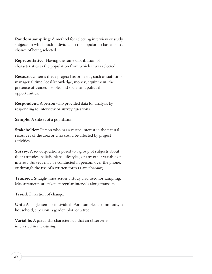**Random sampling**: A method for selecting interview or study subjects in which each individual in the population has an equal chance of being selected.

**Representative**: Having the same distribution of characteristics as the population from which it was selected.

**Resources**: Items that a project has or needs, such as staff time, managerial time, local knowledge, money, equipment, the presence of trained people, and social and political opportunities.

**Respondent**: A person who provided data for analysis by responding to interview or survey questions.

**Sample**: A subset of a population.

**Stakeholder**: Person who has a vested interest in the natural resources of the area or who could be affected by project activities.

**Survey:** A set of questions posed to a group of subjects about their attitudes, beliefs, plans, lifestyles, or any other variable of interest. Surveys may be conducted in person, over the phone, or through the use of a written form (a *questionnaire*).

**Transect**: Straight lines across a study area used for sampling. Measurements are taken at regular intervals along transects.

**Trend**: Direction of change.

**Unit**: A single item or individual. For example, a community, a household, a person, a garden plot, or a tree.

**Variable**: A particular characteristic that an observer is interested in measuring.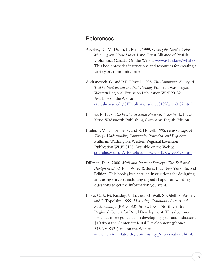## References

Aberley, D., M. Dunn, B. Penn. 1999. *Giving the Land a Voice: Mapping our Home Places*. Land Trust Alliance of British Columbia, Canada. On the Web at [www.island.net/~ltabc/](http://www.island.net/~ltabc/) This book provides instructions and resources for creating a variety of community maps.

Andranovich, G. and R.E. Howell. 1995*. The Community Survey: A Tool for Participation and Fact-Finding.* Pullman, Washington: Western Regional Extension Publication WREP0132. Available on the Web at [cru.cahe.wsu.edu/CEPublications/wrep0132/wrep0132.html.](http://cru.cahe.wsu.edu/CEPublications/wrep0132/wrep0132.html)

Babbie, E. 1998. *The Practice of Social Research.* New York, New York: Wadsworth Publishing Company. Eighth Edition.

Butler, L.M., C. Dephelps, and R. Howell. 1995. *Focus Groups: A Tool for Understanding Community Perceptions and Experiences.* Pullman, Washington: Western Regional Extension Publication WREP0128. Available on the Web at [cru.cahe.wsu.edu/CEPublications/wrep0128/wrep0128.html.](http://cru.cahe.wsu.edu/CEPublications/wrep0128/wrep0128.html)

- Dillman, D. A. 2000. *Mail and Internet Surveys: The Tailored Design Method*. John Wiley & Sons, Inc., New York. Second Edition. This book gives detailed instructions for designing and using surveys, including a good chapter on wording questions to get the information you want.
- Flora, C.B., M. Kinsley, V. Luther, M. Wall, S. Odell, S. Ratner, and J. Topolsky. 1999. *Measuring Community Success and Sustainability*. (RRD 180). Ames, Iowa: North Central Regional Center for Rural Development. This document provides more guidance on developing goals and indicators. \$10 from the Center for Rural Development (phone: 515.294.8321) and on the Web at [www.ncrcrd.iastate.edu/Community\\_Success/about.html.](http://www.ncrcrd.iastate.edu/Community_Success/about.html)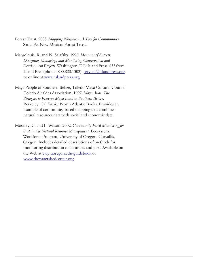Forest Trust. 2003. *Mapping Workbook: A Tool for Communities.* Santa Fe, New Mexico: Forest Trust.

Margolouis, R. and N. Salafsky. 1998. *Measures of Success: Designing, Managing, and Monitoring Conservation and Development Projects*. Washington, DC: Island Press. \$35 from Island Pres (phone: 800.828.1302), [service@islandpress.org](mailto:service@islandpress.org), or online at [www.islandpress.org.](http://www.islandpress.org)

Maya People of Southern Belize, Toledo Maya Cultural Council, Toledo Alcaldes Association. 1997. *Maya Atlas: The Struggles to Preserve Maya Land in Southern Belize*. Berkeley, California: North Atlantic Books. Provides an example of community-based mapping that combines natural resources data with social and economic data.

Moseley, C. and L. Wilson. 2002. *Community-based Monitoring for Sustainable Natural Resource Management*. Ecosystem Workforce Program, University of Oregon, Corvallis, Oregon. Includes detailed descriptions of methods for monitoring distribution of contracts and jobs. Available on the Web at [ewp.uoregon.edu/guidebook](http://ewp.uoregon.edu/guidebook) or [www.thewatershedcenter.org.](http://www.thewatershedcenter.org)